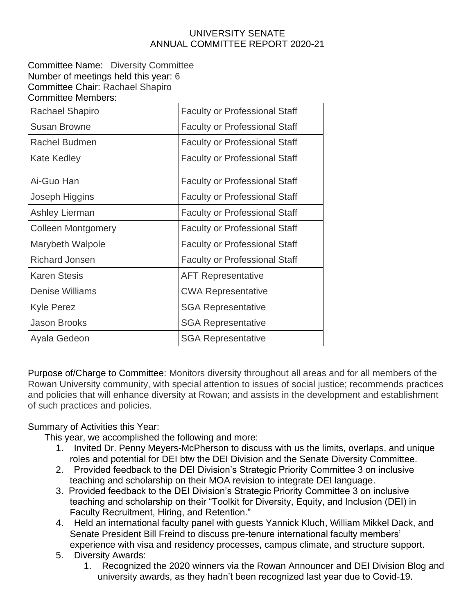## UNIVERSITY SENATE ANNUAL COMMITTEE REPORT 2020-21

Committee Name: Diversity Committee Number of meetings held this year: 6 Committee Chair: Rachael Shapiro Committee Members:

| <b>Rachael Shapiro</b>    | <b>Faculty or Professional Staff</b> |
|---------------------------|--------------------------------------|
| <b>Susan Browne</b>       | <b>Faculty or Professional Staff</b> |
| Rachel Budmen             | <b>Faculty or Professional Staff</b> |
| Kate Kedley               | <b>Faculty or Professional Staff</b> |
| Ai-Guo Han                | <b>Faculty or Professional Staff</b> |
| Joseph Higgins            | <b>Faculty or Professional Staff</b> |
| <b>Ashley Lierman</b>     | <b>Faculty or Professional Staff</b> |
| <b>Colleen Montgomery</b> | <b>Faculty or Professional Staff</b> |
| Marybeth Walpole          | <b>Faculty or Professional Staff</b> |
| <b>Richard Jonsen</b>     | <b>Faculty or Professional Staff</b> |
| Karen Stesis              | <b>AFT Representative</b>            |
| <b>Denise Williams</b>    | <b>CWA Representative</b>            |
| <b>Kyle Perez</b>         | <b>SGA Representative</b>            |
| <b>Jason Brooks</b>       | <b>SGA Representative</b>            |
| Ayala Gedeon              | <b>SGA Representative</b>            |

Purpose of/Charge to Committee: Monitors diversity throughout all areas and for all members of the Rowan University community, with special attention to issues of social justice; recommends practices and policies that will enhance diversity at Rowan; and assists in the development and establishment of such practices and policies.

## Summary of Activities this Year:

This year, we accomplished the following and more:

- 1. Invited Dr. Penny Meyers-McPherson to discuss with us the limits, overlaps, and unique roles and potential for DEI btw the DEI Division and the Senate Diversity Committee.
- 2. Provided feedback to the DEI Division's Strategic Priority Committee 3 on inclusive teaching and scholarship on their MOA revision to integrate DEI language.
- 3. Provided feedback to the DEI Division's Strategic Priority Committee 3 on inclusive teaching and scholarship on their "Toolkit for Diversity, Equity, and Inclusion (DEI) in Faculty Recruitment, Hiring, and Retention."
- 4. Held an international faculty panel with guests Yannick Kluch, William Mikkel Dack, and Senate President Bill Freind to discuss pre-tenure international faculty members' experience with visa and residency processes, campus climate, and structure support.
- 5. Diversity Awards:
	- 1. Recognized the 2020 winners via the Rowan Announcer and DEI Division Blog and university awards, as they hadn't been recognized last year due to Covid-19.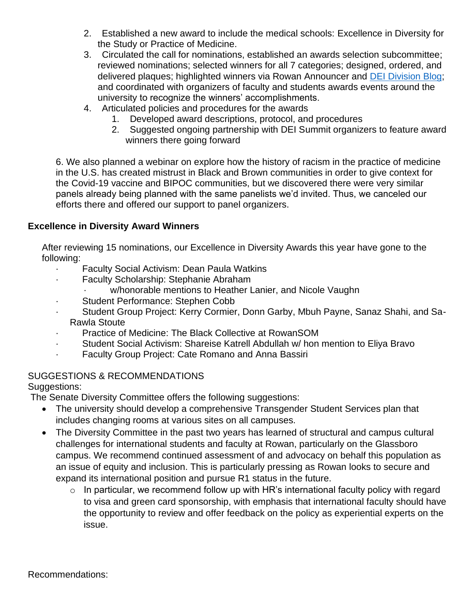- 2. Established a new award to include the medical schools: Excellence in Diversity for the Study or Practice of Medicine.
- 3. Circulated the call for nominations, established an awards selection subcommittee; reviewed nominations; selected winners for all 7 categories; designed, ordered, and delivered plaques; highlighted winners via Rowan Announcer and [DEI Division Blog;](https://rowandei.wordpress.com/2021/04/26/excellence-in-diversity-awards-2021/) and coordinated with organizers of faculty and students awards events around the university to recognize the winners' accomplishments.
- 4. Articulated policies and procedures for the awards
	- 1. Developed award descriptions, protocol, and procedures
	- 2. Suggested ongoing partnership with DEI Summit organizers to feature award winners there going forward

6. We also planned a webinar on explore how the history of racism in the practice of medicine in the U.S. has created mistrust in Black and Brown communities in order to give context for the Covid-19 vaccine and BIPOC communities, but we discovered there were very similar panels already being planned with the same panelists we'd invited. Thus, we canceled our efforts there and offered our support to panel organizers.

## **Excellence in Diversity Award Winners**

After reviewing 15 nominations, our Excellence in Diversity Awards this year have gone to the following:

- Faculty Social Activism: Dean Paula Watkins
- · Faculty Scholarship: Stephanie Abraham
	- w/honorable mentions to Heather Lanier, and Nicole Vaughn
- Student Performance: Stephen Cobb
- · Student Group Project: Kerry Cormier, Donn Garby, Mbuh Payne, Sanaz Shahi, and Sa-Rawla Stoute
- · Practice of Medicine: The Black Collective at RowanSOM
- Student Social Activism: Shareise Katrell Abdullah w/ hon mention to Eliya Bravo
- Faculty Group Project: Cate Romano and Anna Bassiri

## SUGGESTIONS & RECOMMENDATIONS

Suggestions:

The Senate Diversity Committee offers the following suggestions:

- The university should develop a comprehensive Transgender Student Services plan that includes changing rooms at various sites on all campuses.
- The Diversity Committee in the past two years has learned of structural and campus cultural challenges for international students and faculty at Rowan, particularly on the Glassboro campus. We recommend continued assessment of and advocacy on behalf this population as an issue of equity and inclusion. This is particularly pressing as Rowan looks to secure and expand its international position and pursue R1 status in the future.
	- $\circ$  In particular, we recommend follow up with HR's international faculty policy with regard to visa and green card sponsorship, with emphasis that international faculty should have the opportunity to review and offer feedback on the policy as experiential experts on the issue.